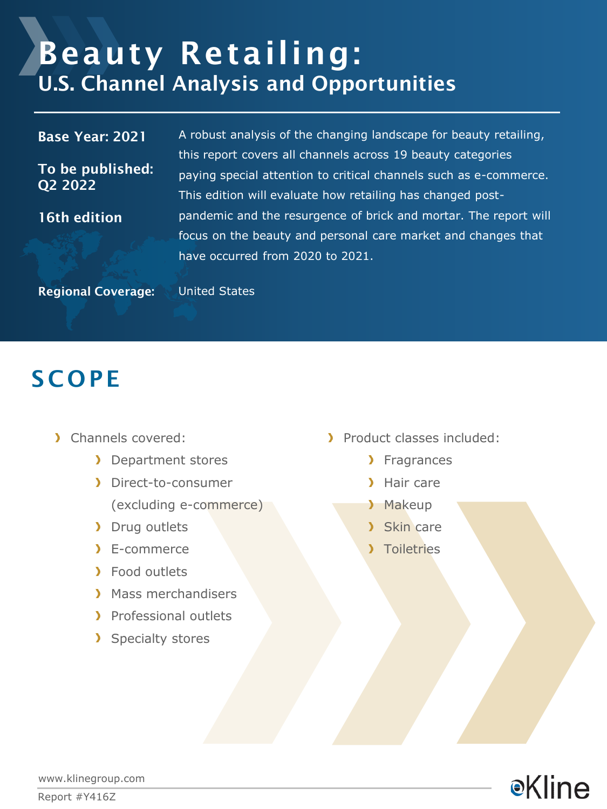# Beauty Retailing: U.S. Channel Analysis and Opportunities

#### Base Year: 2021

To be published: Q2 2022

16th edition

A robust analysis of the changing landscape for beauty retailing, this report covers all channels across 19 beauty categories paying special attention to critical channels such as e-commerce. This edition will evaluate how retailing has changed postpandemic and the resurgence of brick and mortar. The report will focus on the beauty and personal care market and changes that have occurred from 2020 to 2021.

Regional Coverage: United States

### **SCOPE**

- Channels covered:
	- **Department stores**
	- Direct-to-consumer (excluding e-commerce)
	- > Drug outlets
	- E-commerce
	- > Food outlets
	- **Mass merchandisers**
	- > Professional outlets
	- > Specialty stores
- Product classes included:
	- > Fragrances
	- > Hair care
	- > Makeup
	- > Skin care
	- Toiletries



www.klinegroup.com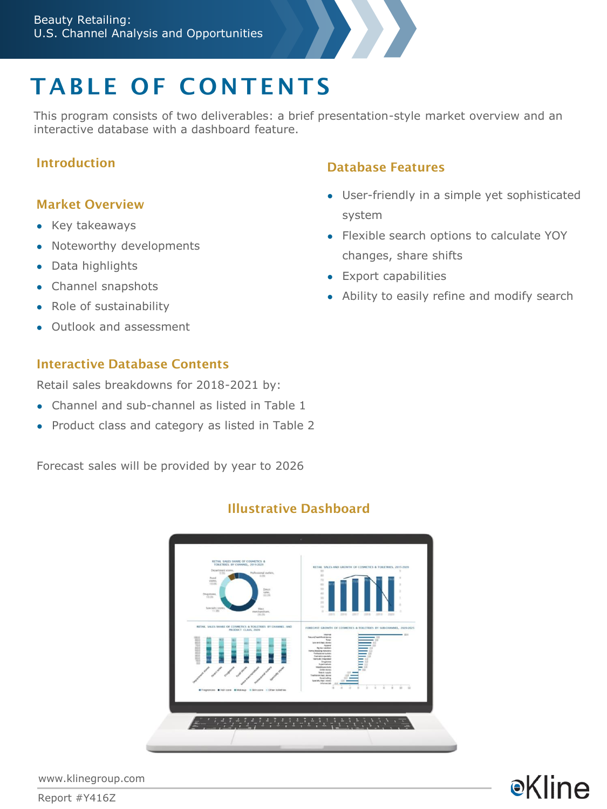## TABLE OF CONTENTS

This program consists of two deliverables: a brief presentation-style market overview and an interactive database with a dashboard feature.

#### Introduction

#### Market Overview

- Key takeaways
- Noteworthy developments
- Data highlights
- Channel snapshots
- Role of sustainability
- Outlook and assessment

#### Interactive Database Contents

Retail sales breakdowns for 2018-2021 by:

- Channel and sub-channel as listed in Table 1
- Product class and category as listed in Table 2

Forecast sales will be provided by year to 2026

#### Database Features

- User-friendly in a simple yet sophisticated system
- Flexible search options to calculate YOY changes, share shifts
- Export capabilities
- Ability to easily refine and modify search

**e**Kline

### Illustrative Dashboard



www.klinegroup.com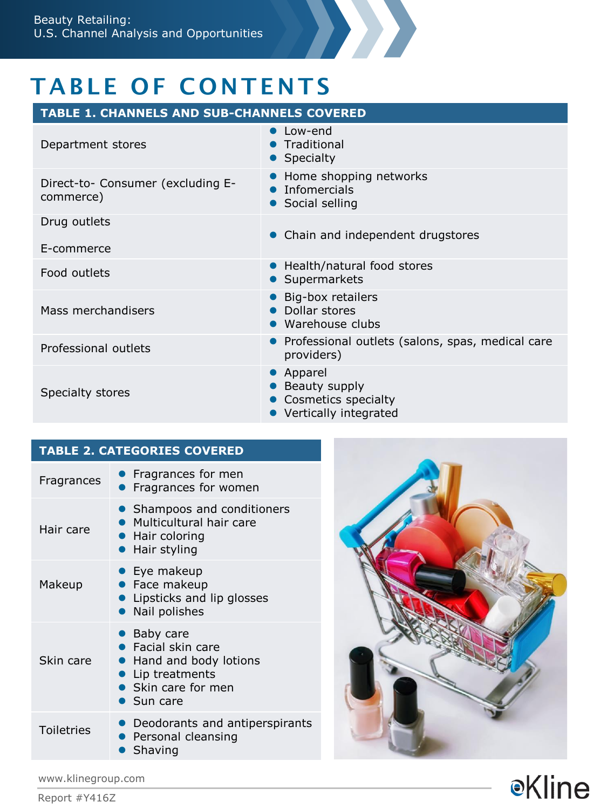

### TABLE OF CONTENTS

| <b>TABLE 1. CHANNELS AND SUB-CHANNELS COVERED</b> |                                                                              |
|---------------------------------------------------|------------------------------------------------------------------------------|
| Department stores                                 | $\bullet$ Low-end<br>Traditional<br>Specialty                                |
| Direct-to- Consumer (excluding E-<br>commerce)    | Home shopping networks<br>Infomercials<br>• Social selling                   |
| Drug outlets                                      |                                                                              |
| E-commerce                                        | • Chain and independent drugstores                                           |
| Food outlets                                      | • Health/natural food stores<br>• Supermarkets                               |
| Mass merchandisers                                | Big-box retailers<br>Dollar stores<br>• Warehouse clubs                      |
| Professional outlets                              | • Professional outlets (salons, spas, medical care<br>providers)             |
| Specialty stores                                  | • Apparel<br>Beauty supply<br>Cosmetics specialty<br>• Vertically integrated |

### **TABLE 2. CATEGORIES COVERED**

| Fragrances | <b>• Fragrances for men</b><br><b>Fragrances for women</b>                                                                |
|------------|---------------------------------------------------------------------------------------------------------------------------|
| Hair care  | • Shampoos and conditioners<br>• Multicultural hair care<br>• Hair coloring<br>• Hair styling                             |
| Makeup     | Eye makeup<br>• Face makeup<br><b>Lipsticks and lip glosses</b><br>• Nail polishes                                        |
| Skin care  | • Baby care<br>$\bullet$ Facial skin care<br>• Hand and body lotions<br>• Lip treatments<br>Skin care for men<br>Sun care |
| Toiletries | • Deodorants and antiperspirants<br>• Personal cleansing<br>Shaving                                                       |



www.klinegroup.com